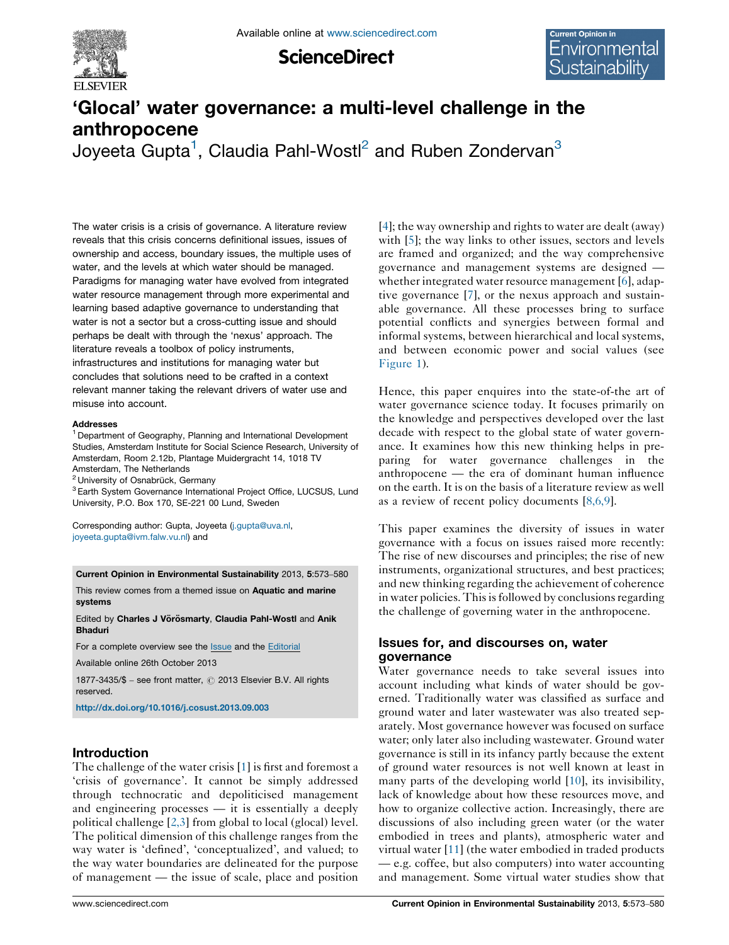

**ScienceDirect** 

# 'Glocal' water governance: a multi-level challenge in the anthropocene

Joyeeta Gupta $^1$ , Claudia Pahl-Wostl $^2$  and Ruben Zondervan $^3$ 

The water crisis is a crisis of governance. A literature review reveals that this crisis concerns definitional issues, issues of ownership and access, boundary issues, the multiple uses of water, and the levels at which water should be managed. Paradigms for managing water have evolved from integrated water resource management through more experimental and learning based adaptive governance to understanding that water is not a sector but a cross-cutting issue and should perhaps be dealt with through the 'nexus' approach. The literature reveals a toolbox of policy instruments, infrastructures and institutions for managing water but concludes that solutions need to be crafted in a context relevant manner taking the relevant drivers of water use and misuse into account.

#### Addresses

<sup>1</sup> Department of Geography, Planning and International Development Studies, Amsterdam Institute for Social Science Research, University of Amsterdam, Room 2.12b, Plantage Muidergracht 14, 1018 TV Amsterdam, The Netherlands

<sup>2</sup> University of Osnabrück, Germany

<sup>3</sup> Earth System Governance International Project Office, LUCSUS, Lund University, P.O. Box 170, SE-221 00 Lund, Sweden

Corresponding author: Gupta, Joyeeta [\(j.gupta@uva.nl](j.gupta@uva.nl), [joyeeta.gupta@ivm.falw.vu.nl\)](joyeeta.gupta@ivm.falw.vu.nl) and

Current Opinion in Environmental Sustainability 2013, 5:573–580

This review comes from a themed issue on Aquatic and marine systems

Edited by Charles J Vörösmarty, Claudia Pahl-Wostl and Anik Bhaduri

For a complete overview see the [Issue](http://www.sciencedirect.com/science/journal/18773435/5/6) and the [Editorial](http://dx.doi.org/10.1016/j.cosust.2013.11.011)

Available online 26th October 2013

1877-3435/\$ - see front matter, @ 2013 Elsevier B.V. All rights reserved.

<http://dx.doi.org/10.1016/j.cosust.2013.09.003>

# Introduction

The challenge of the water crisis [\[1](#page-5-0)] is first and foremost a 'crisis of governance'. It cannot be simply addressed through technocratic and depoliticised management and engineering processes — it is essentially a deeply political challenge [[2,3](#page-5-0)] from global to local (glocal) level. The political dimension of this challenge ranges from the way water is 'defined', 'conceptualized', and valued; to the way water boundaries are delineated for the purpose of management — the issue of scale, place and position [[4](#page-5-0)]; the way ownership and rights to water are dealt (away) with [\[5](#page-5-0)]; the way links to other issues, sectors and levels are framed and organized; and the way comprehensive governance and management systems are designed whether integrated water resource management [\[6](#page-5-0)], adaptive governance [[7\]](#page-5-0), or the nexus approach and sustainable governance. All these processes bring to surface potential conflicts and synergies between formal and informal systems, between hierarchical and local systems, and between economic power and social values (see [Figure](#page-1-0) 1).

Hence, this paper enquires into the state-of-the art of water governance science today. It focuses primarily on the knowledge and perspectives developed over the last decade with respect to the global state of water governance. It examines how this new thinking helps in preparing for water governance challenges in the anthropocene — the era of dominant human influence on the earth. It is on the basis of a literature review as well as a review of recent policy documents [[8,6,9\]](#page-5-0).

This paper examines the diversity of issues in water governance with a focus on issues raised more recently: The rise of new discourses and principles; the rise of new instruments, organizational structures, and best practices; and new thinking regarding the achievement of coherence in water policies. This is followed by conclusions regarding the challenge of governing water in the anthropocene.

## Issues for, and discourses on, water governance

Water governance needs to take several issues into account including what kinds of water should be governed. Traditionally water was classified as surface and ground water and later wastewater was also treated separately. Most governance however was focused on surface water; only later also including wastewater. Ground water governance is still in its infancy partly because the extent of ground water resources is not well known at least in many parts of the developing world [\[10](#page-5-0)], its invisibility, lack of knowledge about how these resources move, and how to organize collective action. Increasingly, there are discussions of also including green water (or the water embodied in trees and plants), atmospheric water and virtual water [[11\]](#page-5-0) (the water embodied in traded products — e.g. coffee, but also computers) into water accounting and management. Some virtual water studies show that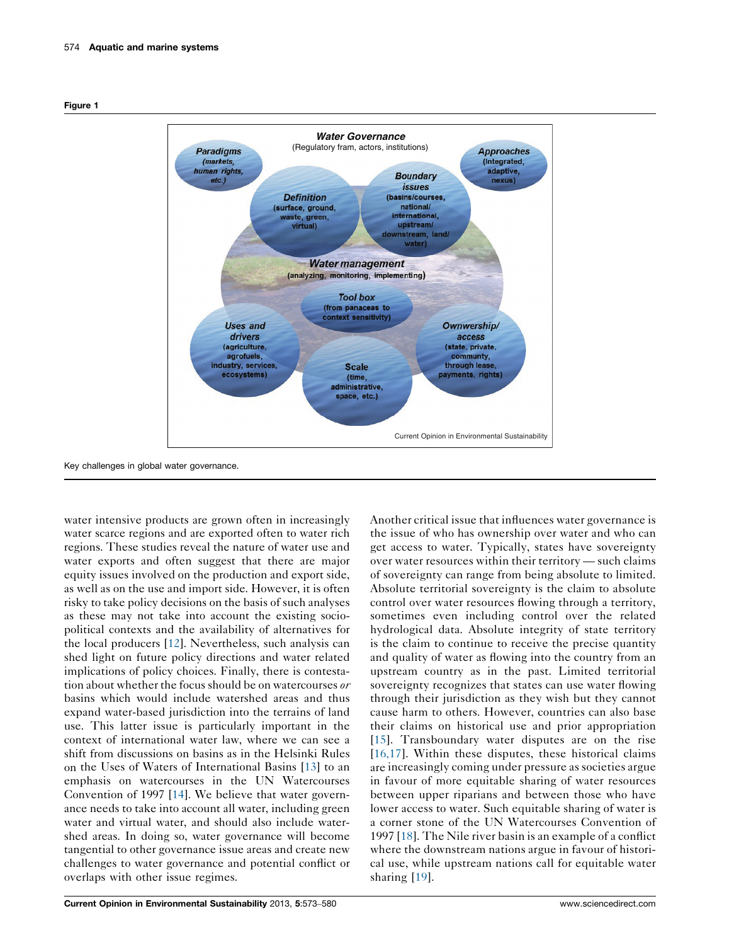<span id="page-1-0"></span>



Key challenges in global water governance.

water intensive products are grown often in increasingly water scarce regions and are exported often to water rich regions. These studies reveal the nature of water use and water exports and often suggest that there are major equity issues involved on the production and export side, as well as on the use and import side. However, it is often risky to take policy decisions on the basis of such analyses as these may not take into account the existing sociopolitical contexts and the availability of alternatives for the local producers [\[12](#page-5-0)]. Nevertheless, such analysis can shed light on future policy directions and water related implications of policy choices. Finally, there is contestation about whether the focus should be on watercourses or basins which would include watershed areas and thus expand water-based jurisdiction into the terrains of land use. This latter issue is particularly important in the context of international water law, where we can see a shift from discussions on basins as in the Helsinki Rules on the Uses of Waters of International Basins [[13](#page-5-0)] to an emphasis on watercourses in the UN Watercourses Convention of 1997 [[14\]](#page-5-0). We believe that water governance needs to take into account all water, including green water and virtual water, and should also include watershed areas. In doing so, water governance will become tangential to other governance issue areas and create new challenges to water governance and potential conflict or overlaps with other issue regimes.

the issue of who has ownership over water and who can get access to water. Typically, states have sovereignty over water resources within their territory — such claims of sovereignty can range from being absolute to limited. Absolute territorial sovereignty is the claim to absolute control over water resources flowing through a territory, sometimes even including control over the related hydrological data. Absolute integrity of state territory is the claim to continue to receive the precise quantity and quality of water as flowing into the country from an upstream country as in the past. Limited territorial sovereignty recognizes that states can use water flowing through their jurisdiction as they wish but they cannot cause harm to others. However, countries can also base their claims on historical use and prior appropriation [[15\]](#page-5-0). Transboundary water disputes are on the rise [[16,17](#page-5-0)]. Within these disputes, these historical claims are increasingly coming under pressure as societies argue in favour of more equitable sharing of water resources between upper riparians and between those who have lower access to water. Such equitable sharing of water is a corner stone of the UN Watercourses Convention of 1997 [[18](#page-5-0)]. The Nile river basin is an example of a conflict where the downstream nations argue in favour of historical use, while upstream nations call for equitable water sharing [[19](#page-5-0)].

Another critical issue that influences water governance is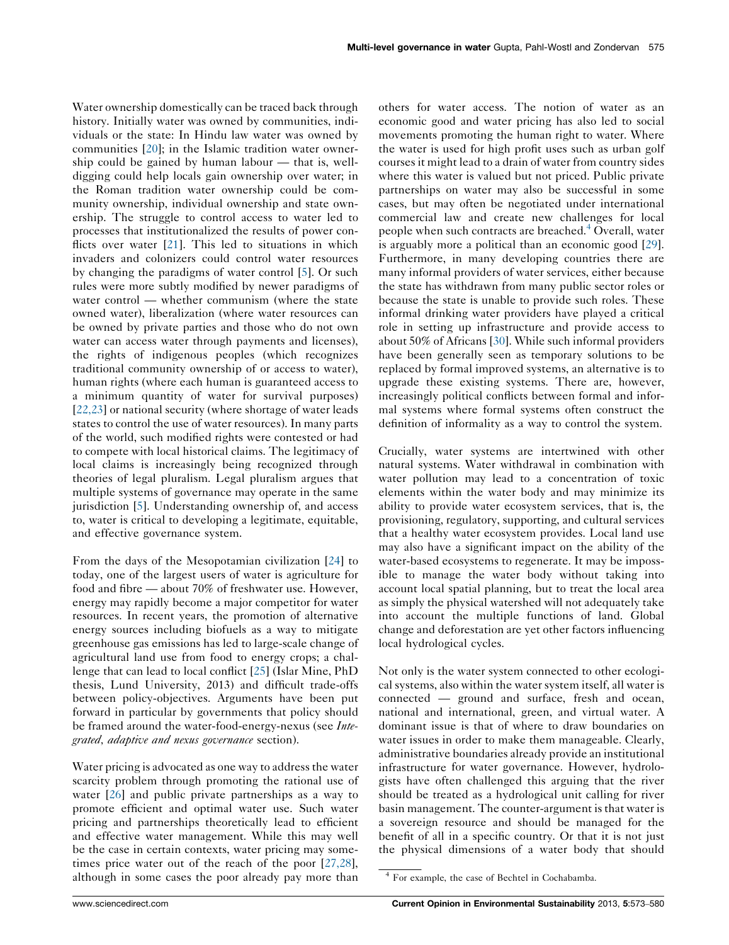Water ownership domestically can be traced back through history. Initially water was owned by communities, individuals or the state: In Hindu law water was owned by communities [[20\]](#page-5-0); in the Islamic tradition water ownership could be gained by human labour — that is, welldigging could help locals gain ownership over water; in the Roman tradition water ownership could be community ownership, individual ownership and state ownership. The struggle to control access to water led to processes that institutionalized the results of power con-flicts over water [\[21](#page-5-0)]. This led to situations in which invaders and colonizers could control water resources by changing the paradigms of water control [[5\]](#page-5-0). Or such rules were more subtly modified by newer paradigms of water control — whether communism (where the state owned water), liberalization (where water resources can be owned by private parties and those who do not own water can access water through payments and licenses), the rights of indigenous peoples (which recognizes traditional community ownership of or access to water), human rights (where each human is guaranteed access to a minimum quantity of water for survival purposes) [\[22,23\]](#page-5-0) or national security (where shortage of water leads states to control the use of water resources). In many parts of the world, such modified rights were contested or had to compete with local historical claims. The legitimacy of local claims is increasingly being recognized through theories of legal pluralism. Legal pluralism argues that multiple systems of governance may operate in the same jurisdiction [\[5](#page-5-0)]. Understanding ownership of, and access to, water is critical to developing a legitimate, equitable, and effective governance system.

From the days of the Mesopotamian civilization [\[24](#page-6-0)] to today, one of the largest users of water is agriculture for food and fibre — about 70% of freshwater use. However, energy may rapidly become a major competitor for water resources. In recent years, the promotion of alternative energy sources including biofuels as a way to mitigate greenhouse gas emissions has led to large-scale change of agricultural land use from food to energy crops; a challenge that can lead to local conflict [\[25](#page-6-0)] (Islar Mine, PhD thesis, Lund University, 2013) and difficult trade-offs between policy-objectives. Arguments have been put forward in particular by governments that policy should be framed around the water-food-energy-nexus (see *Inte*grated, adaptive and nexus governance section).

Water pricing is advocated as one way to address the water scarcity problem through promoting the rational use of water [[26\]](#page-6-0) and public private partnerships as a way to promote efficient and optimal water use. Such water pricing and partnerships theoretically lead to efficient and effective water management. While this may well be the case in certain contexts, water pricing may sometimes price water out of the reach of the poor [[27,28](#page-6-0)], although in some cases the poor already pay more than

others for water access. The notion of water as an economic good and water pricing has also led to social movements promoting the human right to water. Where the water is used for high profit uses such as urban golf courses it might lead to a drain of water from country sides where this water is valued but not priced. Public private partnerships on water may also be successful in some cases, but may often be negotiated under international commercial law and create new challenges for local people when such contracts are breached.<sup>4</sup> Overall, water is arguably more a political than an economic good [[29\]](#page-6-0). Furthermore, in many developing countries there are many informal providers of water services, either because the state has withdrawn from many public sector roles or because the state is unable to provide such roles. These informal drinking water providers have played a critical role in setting up infrastructure and provide access to about 50% of Africans [[30\]](#page-6-0). While such informal providers have been generally seen as temporary solutions to be replaced by formal improved systems, an alternative is to upgrade these existing systems. There are, however, increasingly political conflicts between formal and informal systems where formal systems often construct the definition of informality as a way to control the system.

Crucially, water systems are intertwined with other natural systems. Water withdrawal in combination with water pollution may lead to a concentration of toxic elements within the water body and may minimize its ability to provide water ecosystem services, that is, the provisioning, regulatory, supporting, and cultural services that a healthy water ecosystem provides. Local land use may also have a significant impact on the ability of the water-based ecosystems to regenerate. It may be impossible to manage the water body without taking into account local spatial planning, but to treat the local area as simply the physical watershed will not adequately take into account the multiple functions of land. Global change and deforestation are yet other factors influencing local hydrological cycles.

Not only is the water system connected to other ecological systems, also within the water system itself, all water is connected — ground and surface, fresh and ocean, national and international, green, and virtual water. A dominant issue is that of where to draw boundaries on water issues in order to make them manageable. Clearly, administrative boundaries already provide an institutional infrastructure for water governance. However, hydrologists have often challenged this arguing that the river should be treated as a hydrological unit calling for river basin management. The counter-argument is that water is a sovereign resource and should be managed for the benefit of all in a specific country. Or that it is not just the physical dimensions of a water body that should

<sup>4</sup> For example, the case of Bechtel in Cochabamba.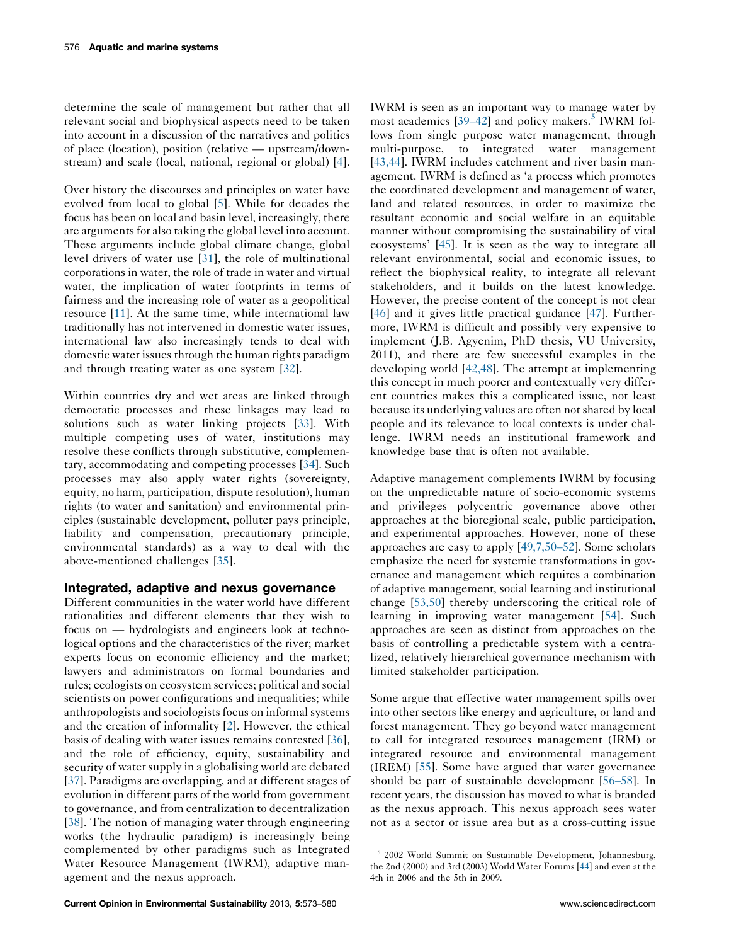determine the scale of management but rather that all relevant social and biophysical aspects need to be taken into account in a discussion of the narratives and politics of place (location), position (relative — upstream/downstream) and scale (local, national, regional or global) [\[4](#page-5-0)].

Over history the discourses and principles on water have evolved from local to global [\[5](#page-5-0)]. While for decades the focus has been on local and basin level, increasingly, there are arguments for also taking the global level into account. These arguments include global climate change, global level drivers of water use [[31\]](#page-6-0), the role of multinational corporations in water, the role of trade in water and virtual water, the implication of water footprints in terms of fairness and the increasing role of water as a geopolitical resource [[11\]](#page-5-0). At the same time, while international law traditionally has not intervened in domestic water issues, international law also increasingly tends to deal with domestic water issues through the human rights paradigm and through treating water as one system [\[32](#page-6-0)].

Within countries dry and wet areas are linked through democratic processes and these linkages may lead to solutions such as water linking projects [\[33](#page-6-0)]. With multiple competing uses of water, institutions may resolve these conflicts through substitutive, complementary, accommodating and competing processes [[34\]](#page-6-0). Such processes may also apply water rights (sovereignty, equity, no harm, participation, dispute resolution), human rights (to water and sanitation) and environmental principles (sustainable development, polluter pays principle, liability and compensation, precautionary principle, environmental standards) as a way to deal with the above-mentioned challenges [\[35](#page-6-0)].

#### Integrated, adaptive and nexus governance

Different communities in the water world have different rationalities and different elements that they wish to focus on — hydrologists and engineers look at technological options and the characteristics of the river; market experts focus on economic efficiency and the market; lawyers and administrators on formal boundaries and rules; ecologists on ecosystem services; political and social scientists on power configurations and inequalities; while anthropologists and sociologists focus on informal systems and the creation of informality [[2\]](#page-5-0). However, the ethical basis of dealing with water issues remains contested [\[36](#page-6-0)], and the role of efficiency, equity, sustainability and security of water supply in a globalising world are debated [\[37](#page-6-0)]. Paradigms are overlapping, and at different stages of evolution in different parts of the world from government to governance, and from centralization to decentralization [\[38](#page-6-0)]. The notion of managing water through engineering works (the hydraulic paradigm) is increasingly being complemented by other paradigms such as Integrated Water Resource Management (IWRM), adaptive management and the nexus approach.

IWRM is seen as an important way to manage water by most academics  $[39-42]$  $[39-42]$  and policy makers.<sup>5</sup> IWRM follows from single purpose water management, through multi-purpose, to integrated water management [\[43,44\]](#page-6-0). IWRM includes catchment and river basin management. IWRM is defined as 'a process which promotes the coordinated development and management of water, land and related resources, in order to maximize the resultant economic and social welfare in an equitable manner without compromising the sustainability of vital ecosystems' [\[45](#page-6-0)]. It is seen as the way to integrate all relevant environmental, social and economic issues, to reflect the biophysical reality, to integrate all relevant stakeholders, and it builds on the latest knowledge. However, the precise content of the concept is not clear [\[46](#page-6-0)] and it gives little practical guidance [[47\]](#page-6-0). Furthermore, IWRM is difficult and possibly very expensive to implement (J.B. Agyenim, PhD thesis, VU University, 2011), and there are few successful examples in the developing world [[42,48\]](#page-6-0). The attempt at implementing this concept in much poorer and contextually very different countries makes this a complicated issue, not least because its underlying values are often not shared by local people and its relevance to local contexts is under challenge. IWRM needs an institutional framework and knowledge base that is often not available.

Adaptive management complements IWRM by focusing on the unpredictable nature of socio-economic systems and privileges polycentric governance above other approaches at the bioregional scale, public participation, and experimental approaches. However, none of these approaches are easy to apply [[49,7,50](#page-6-0)–52]. Some scholars emphasize the need for systemic transformations in governance and management which requires a combination of adaptive management, social learning and institutional change [\[53,50\]](#page-6-0) thereby underscoring the critical role of learning in improving water management [[54\]](#page-6-0). Such approaches are seen as distinct from approaches on the basis of controlling a predictable system with a centralized, relatively hierarchical governance mechanism with limited stakeholder participation.

Some argue that effective water management spills over into other sectors like energy and agriculture, or land and forest management. They go beyond water management to call for integrated resources management (IRM) or integrated resource and environmental management (IREM) [\[55](#page-6-0)]. Some have argued that water governance should be part of sustainable development [56–[58\]](#page-6-0). In recent years, the discussion has moved to what is branded as the nexus approach. This nexus approach sees water not as a sector or issue area but as a cross-cutting issue

<sup>5</sup> 2002 World Summit on Sustainable Development, Johannesburg, the 2nd (2000) and 3rd (2003) World Water Forums [\[44](#page-6-0)] and even at the 4th in 2006 and the 5th in 2009.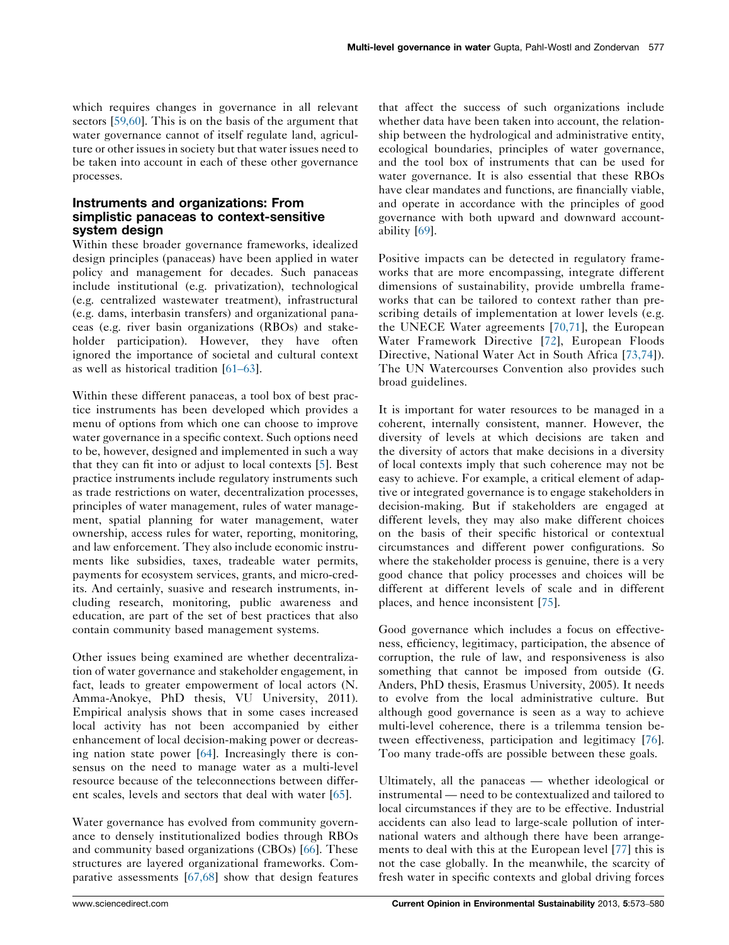which requires changes in governance in all relevant sectors [[59,60](#page-6-0)]. This is on the basis of the argument that water governance cannot of itself regulate land, agriculture or other issues in society but that water issues need to be taken into account in each of these other governance processes.

### Instruments and organizations: From simplistic panaceas to context-sensitive system design

Within these broader governance frameworks, idealized design principles (panaceas) have been applied in water policy and management for decades. Such panaceas include institutional (e.g. privatization), technological (e.g. centralized wastewater treatment), infrastructural (e.g. dams, interbasin transfers) and organizational panaceas (e.g. river basin organizations (RBOs) and stakeholder participation). However, they have often ignored the importance of societal and cultural context as well as historical tradition [61–[63\]](#page-6-0).

Within these different panaceas, a tool box of best practice instruments has been developed which provides a menu of options from which one can choose to improve water governance in a specific context. Such options need to be, however, designed and implemented in such a way that they can fit into or adjust to local contexts [\[5](#page-5-0)]. Best practice instruments include regulatory instruments such as trade restrictions on water, decentralization processes, principles of water management, rules of water management, spatial planning for water management, water ownership, access rules for water, reporting, monitoring, and law enforcement. They also include economic instruments like subsidies, taxes, tradeable water permits, payments for ecosystem services, grants, and micro-credits. And certainly, suasive and research instruments, including research, monitoring, public awareness and education, are part of the set of best practices that also contain community based management systems.

Other issues being examined are whether decentralization of water governance and stakeholder engagement, in fact, leads to greater empowerment of local actors (N. Amma-Anokye, PhD thesis, VU University, 2011). Empirical analysis shows that in some cases increased local activity has not been accompanied by either enhancement of local decision-making power or decreasing nation state power [\[64](#page-6-0)]. Increasingly there is consensus on the need to manage water as a multi-level resource because of the teleconnections between different scales, levels and sectors that deal with water [\[65](#page-6-0)].

Water governance has evolved from community governance to densely institutionalized bodies through RBOs and community based organizations (CBOs) [\[66](#page-6-0)]. These structures are layered organizational frameworks. Comparative assessments [[67,68](#page-6-0)] show that design features

that affect the success of such organizations include whether data have been taken into account, the relationship between the hydrological and administrative entity, ecological boundaries, principles of water governance, and the tool box of instruments that can be used for water governance. It is also essential that these RBOs have clear mandates and functions, are financially viable, and operate in accordance with the principles of good governance with both upward and downward accountability [[69\]](#page-7-0).

Positive impacts can be detected in regulatory frameworks that are more encompassing, integrate different dimensions of sustainability, provide umbrella frameworks that can be tailored to context rather than prescribing details of implementation at lower levels (e.g. the UNECE Water agreements [\[70,71](#page-7-0)], the European Water Framework Directive [[72\]](#page-7-0), European Floods Directive, National Water Act in South Africa [\[73,74](#page-7-0)]). The UN Watercourses Convention also provides such broad guidelines.

It is important for water resources to be managed in a coherent, internally consistent, manner. However, the diversity of levels at which decisions are taken and the diversity of actors that make decisions in a diversity of local contexts imply that such coherence may not be easy to achieve. For example, a critical element of adaptive or integrated governance is to engage stakeholders in decision-making. But if stakeholders are engaged at different levels, they may also make different choices on the basis of their specific historical or contextual circumstances and different power configurations. So where the stakeholder process is genuine, there is a very good chance that policy processes and choices will be different at different levels of scale and in different places, and hence inconsistent [\[75](#page-7-0)].

Good governance which includes a focus on effectiveness, efficiency, legitimacy, participation, the absence of corruption, the rule of law, and responsiveness is also something that cannot be imposed from outside (G. Anders, PhD thesis, Erasmus University, 2005). It needs to evolve from the local administrative culture. But although good governance is seen as a way to achieve multi-level coherence, there is a trilemma tension between effectiveness, participation and legitimacy [[76\]](#page-7-0). Too many trade-offs are possible between these goals.

Ultimately, all the panaceas — whether ideological or instrumental — need to be contextualized and tailored to local circumstances if they are to be effective. Industrial accidents can also lead to large-scale pollution of international waters and although there have been arrangements to deal with this at the European level [\[77](#page-7-0)] this is not the case globally. In the meanwhile, the scarcity of fresh water in specific contexts and global driving forces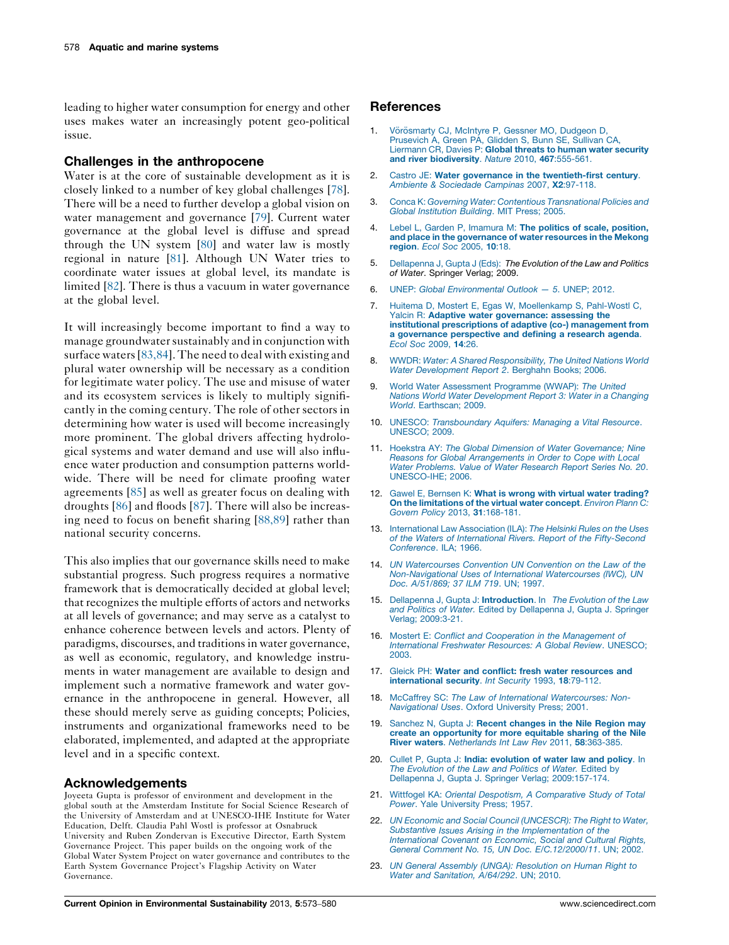<span id="page-5-0"></span>leading to higher water consumption for energy and other uses makes water an increasingly potent geo-political issue.

#### Challenges in the anthropocene

Water is at the core of sustainable development as it is closely linked to a number of key global challenges [\[78](#page-7-0)]. There will be a need to further develop a global vision on water management and governance [\[79](#page-7-0)]. Current water governance at the global level is diffuse and spread through the UN system [[80\]](#page-7-0) and water law is mostly regional in nature [\[81](#page-7-0)]. Although UN Water tries to coordinate water issues at global level, its mandate is limited [\[82](#page-7-0)]. There is thus a vacuum in water governance at the global level.

It will increasingly become important to find a way to manage groundwater sustainably and in conjunction with surface waters[[83,84\]](#page-7-0). The need to deal with existing and plural water ownership will be necessary as a condition for legitimate water policy. The use and misuse of water and its ecosystem services is likely to multiply significantly in the coming century. The role of other sectors in determining how water is used will become increasingly more prominent. The global drivers affecting hydrological systems and water demand and use will also influence water production and consumption patterns worldwide. There will be need for climate proofing water agreements [[85\]](#page-7-0) as well as greater focus on dealing with droughts [\[86\]](#page-7-0) and floods [[87\]](#page-7-0). There will also be increasing need to focus on benefit sharing [[88,89\]](#page-7-0) rather than national security concerns.

This also implies that our governance skills need to make substantial progress. Such progress requires a normative framework that is democratically decided at global level; that recognizes the multiple efforts of actors and networks at all levels of governance; and may serve as a catalyst to enhance coherence between levels and actors. Plenty of paradigms, discourses, and traditions in water governance, as well as economic, regulatory, and knowledge instruments in water management are available to design and implement such a normative framework and water governance in the anthropocene in general. However, all these should merely serve as guiding concepts; Policies, instruments and organizational frameworks need to be elaborated, implemented, and adapted at the appropriate level and in a specific context.

#### Acknowledgements

Joyeeta Gupta is professor of environment and development in the global south at the Amsterdam Institute for Social Science Research of the University of Amsterdam and at UNESCO-IHE Institute for Water Education, Delft. Claudia Pahl Wostl is professor at Osnabruck University and Ruben Zondervan is Executive Director, Earth System Governance Project. This paper builds on the ongoing work of the Global Water System Project on water governance and contributes to the Earth System Governance Project's Flagship Activity on Water Governance.

- 1. Vörösmarty CJ, McIntyre P, Gessner MO, [Dudgeon](http://refhub.elsevier.com/S1877-3435(13)00129-2/sbref0005) D,<br>[Prusevich](http://refhub.elsevier.com/S1877-3435(13)00129-2/sbref0005) A, Green PA, Glidden S, Bunn SE, Sullivan CA,<br>[Liermann](http://refhub.elsevier.com/S1877-3435(13)00129-2/sbref0005) CR, Davies P: Global threats to human water security and river [biodiversity](http://refhub.elsevier.com/S1877-3435(13)00129-2/sbref0005). Nature 2010, 467:555-561.
- 2. Castro JE: Water governance in the [twentieth-first](http://refhub.elsevier.com/S1877-3435(13)00129-2/sbref0010) century. Ambiente & [Sociedade](http://refhub.elsevier.com/S1877-3435(13)00129-2/sbref0010) Campinas 2007, X2:97-118.
- 3. Conca K: Governing Water: Contentious [Transnational](http://refhub.elsevier.com/S1877-3435(13)00129-2/sbref0015) Policies and Global [Institution](http://refhub.elsevier.com/S1877-3435(13)00129-2/sbref0015) Building. MIT Press; 200[5.](http://refhub.elsevier.com/S1877-3435(13)00129-2/sbref0015)
- 4. Lebel L, Garden P, Imamura M: The politics of scale, [position,](http://refhub.elsevier.com/S1877-3435(13)00129-2/sbref0020) and place in the [governance](http://refhub.elsevier.com/S1877-3435(13)00129-2/sbref0020) of water resources in the Mekong [region](http://refhub.elsevier.com/S1877-3435(13)00129-2/sbref0020). Ecol Soc 2005, 10:18.
- 5. [Dellapenna](http://refhub.elsevier.com/S1877-3435(13)00129-2/sbref0025) J, Gupta J (Eds): The Evolution of the Law and Politics of [Water](http://refhub.elsevier.com/S1877-3435(13)00129-2/sbref0025). Springer Verlag; 2009.
- 6. UNEP: Global [Environmental](http://refhub.elsevier.com/S1877-3435(13)00129-2/sbref0030) Outlook 5. UNEP; 2012[.](http://refhub.elsevier.com/S1877-3435(13)00129-2/sbref0030)
- 7. Huitema D, Mostert E, Egas W, [Moellenkamp](http://refhub.elsevier.com/S1877-3435(13)00129-2/sbref0035) S, Pahl-Wostl C, Yalcin R: Adaptive water [governance:](http://refhub.elsevier.com/S1877-3435(13)00129-2/sbref0035) assessing the institutional [prescriptions](http://refhub.elsevier.com/S1877-3435(13)00129-2/sbref0035) of adaptive (co-) management from a [governance](http://refhub.elsevier.com/S1877-3435(13)00129-2/sbref0035) perspective and defining a research agenda. Ecol Soc [2009,](http://refhub.elsevier.com/S1877-3435(13)00129-2/sbref0035) 14:26.
- 8. WWDR: Water: A Shared [Responsibility,](http://refhub.elsevier.com/S1877-3435(13)00129-2/sbref0040) The United Nations World Water [Development](http://refhub.elsevier.com/S1877-3435(13)00129-2/sbref0040) Report 2. Berghahn Books; 2006[.](http://refhub.elsevier.com/S1877-3435(13)00129-2/sbref0040)
- 9. World Water [Assessment](http://refhub.elsevier.com/S1877-3435(13)00129-2/sbref0045) Programme (WWAP): The United Nations World Water [Development](http://refhub.elsevier.com/S1877-3435(13)00129-2/sbref0045) Report 3: Water in a Changing World. [Earthscan;](http://refhub.elsevier.com/S1877-3435(13)00129-2/sbref0045) 2009[.](http://refhub.elsevier.com/S1877-3435(13)00129-2/sbref0045)
- 10. UNESCO: [Transboundary](http://refhub.elsevier.com/S1877-3435(13)00129-2/sbref0050) Aquifers: Managing a Vital Resource. [UNESCO;](http://refhub.elsevier.com/S1877-3435(13)00129-2/sbref0050) 2009[.](http://refhub.elsevier.com/S1877-3435(13)00129-2/sbref0050)
- 11. Hoekstra AY: The Global Dimension of Water [Governance;](http://refhub.elsevier.com/S1877-3435(13)00129-2/sbref0055) Nine Reasons for Global [Arrangements](http://refhub.elsevier.com/S1877-3435(13)00129-2/sbref0055) in Order to Cope with Local Water [Problems.](http://refhub.elsevier.com/S1877-3435(13)00129-2/sbref0055) Value of Water Research Report Series No. 20. [UNESCO-IHE;](http://refhub.elsevier.com/S1877-3435(13)00129-2/sbref0055) 2006[.](http://refhub.elsevier.com/S1877-3435(13)00129-2/sbref0055)
- 12. Gawel E, Bernsen K: What is wrong with virtual water [trading?](http://refhub.elsevier.com/S1877-3435(13)00129-2/sbref0060) On the [limitations](http://refhub.elsevier.com/S1877-3435(13)00129-2/sbref0060) of the virtual water concept. Environ Plann C: Govern Policy 2013, 31[:168-181.](http://refhub.elsevier.com/S1877-3435(13)00129-2/sbref0060)
- 13. [International](http://refhub.elsevier.com/S1877-3435(13)00129-2/sbref0065) Law Association (ILA): The Helsinki Rules on the Uses of the Waters of International Rivers. Report of the [Fifty-Second](http://refhub.elsevier.com/S1877-3435(13)00129-2/sbref0065) [Conference](http://refhub.elsevier.com/S1877-3435(13)00129-2/sbref0065). ILA; 1966[.](http://refhub.elsevier.com/S1877-3435(13)00129-2/sbref0065)
- 14. UN [Watercourses](http://refhub.elsevier.com/S1877-3435(13)00129-2/sbref0070) Convention UN Convention on the Law of the [Non-Navigational](http://refhub.elsevier.com/S1877-3435(13)00129-2/sbref0070) Uses of International Watercourses (IWC), UN Doc. [A/51/869;](http://refhub.elsevier.com/S1877-3435(13)00129-2/sbref0070) 37 ILM 719. UN; 1997[.](http://refhub.elsevier.com/S1877-3435(13)00129-2/sbref0070)
- 15. Dellapenna J, Gupta J: [Introduction](http://refhub.elsevier.com/S1877-3435(13)00129-2/sbref0075). In The Evolution of the Law and Politics of Water. Edited by [Dellapenna](http://refhub.elsevier.com/S1877-3435(13)00129-2/sbref0075) J, Gupta J. Springer [Verlag;](http://refhub.elsevier.com/S1877-3435(13)00129-2/sbref0075) 2009:[3-21](http://refhub.elsevier.com/S1877-3435(13)00129-2/sbref0075).
- 16. Mostert E: Conflict and Cooperation in the [Management](http://refhub.elsevier.com/S1877-3435(13)00129-2/sbref0080) of [International](http://refhub.elsevier.com/S1877-3435(13)00129-2/sbref0080) Freshwater Resources: A Global Review. UNESCO; [2003.](http://refhub.elsevier.com/S1877-3435(13)00129-2/sbref0080)
- 17. Gleick PH: Water and conflict: fresh water [resources](http://refhub.elsevier.com/S1877-3435(13)00129-2/sbref0085) and [international](http://refhub.elsevier.com/S1877-3435(13)00129-2/sbref0085) security. Int Security 1993, 18:79-112.
- 18. McCaffrey SC: The Law of International [Watercourses:](http://refhub.elsevier.com/S1877-3435(13)00129-2/sbref0090) Non-[Navigational](http://refhub.elsevier.com/S1877-3435(13)00129-2/sbref0090) Uses. Oxford University Press; 2001[.](http://refhub.elsevier.com/S1877-3435(13)00129-2/sbref0090)
- 19. Sanchez N, Gupta J: Recent [changes](http://refhub.elsevier.com/S1877-3435(13)00129-2/sbref0095) in the Nile Region may create an [opportunity](http://refhub.elsevier.com/S1877-3435(13)00129-2/sbref0095) for more equitable sharing of the Nile River waters. [Netherlands](http://refhub.elsevier.com/S1877-3435(13)00129-2/sbref0095) Int Law Rev 2011, 58:363-385.
- 20. Cullet P, Gupta J: India: [evolution](http://refhub.elsevier.com/S1877-3435(13)00129-2/sbref0100) of water law and policy. In The [Evolution](http://refhub.elsevier.com/S1877-3435(13)00129-2/sbref0100) of the Law and Politics of Water. Edited by [Dellapenna](http://refhub.elsevier.com/S1877-3435(13)00129-2/sbref0100) J, Gupta J. Springer Verlag; 2009:[157-174](http://refhub.elsevier.com/S1877-3435(13)00129-2/sbref0100).
- 21. Wittfogel KA: Oriental Despotism, A [Comparative](http://refhub.elsevier.com/S1877-3435(13)00129-2/sbref0105) Study of Total Power. Yale [University](http://refhub.elsevier.com/S1877-3435(13)00129-2/sbref0105) Press; 1957[.](http://refhub.elsevier.com/S1877-3435(13)00129-2/sbref0105)
- 22. UN Economic and Social Council [\(UNCESCR\):](http://refhub.elsevier.com/S1877-3435(13)00129-2/sbref0110) The Right to Water, Substantive Issues Arising in the [Implementation](http://refhub.elsevier.com/S1877-3435(13)00129-2/sbref0110) of the [International](http://refhub.elsevier.com/S1877-3435(13)00129-2/sbref0110) Covenant on Economic, Social and Cultural Rights, General Comment No. 15, UN Doc. [E/C.12/2000/11](http://refhub.elsevier.com/S1877-3435(13)00129-2/sbref0110). UN; 200[2.](http://refhub.elsevier.com/S1877-3435(13)00129-2/sbref0110)
- 23. UN General Assembly (UNGA): [Resolution](http://refhub.elsevier.com/S1877-3435(13)00129-2/sbref0115) on Human Right to Water and [Sanitation,](http://refhub.elsevier.com/S1877-3435(13)00129-2/sbref0115) A/64/292. UN; 201[0.](http://refhub.elsevier.com/S1877-3435(13)00129-2/sbref0115)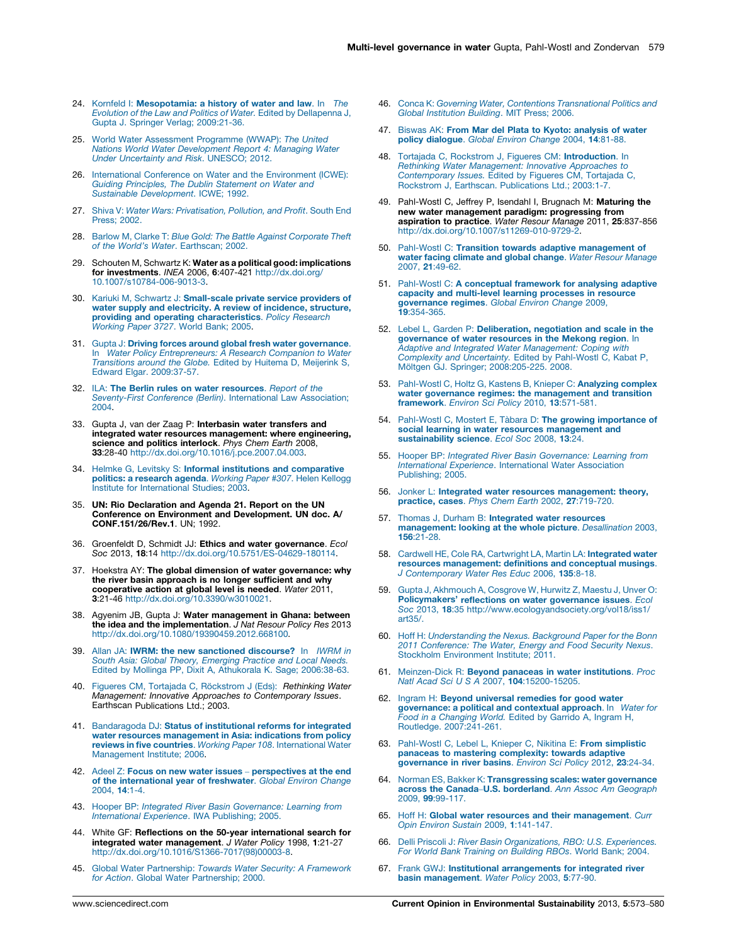- <span id="page-6-0"></span>24. Kornfeld I: [Mesopotamia:](http://refhub.elsevier.com/S1877-3435(13)00129-2/sbref0120) a history of water and law. In The Evolution of the Law and Politics of Water. Edited by [Dellapenna](http://refhub.elsevier.com/S1877-3435(13)00129-2/sbref0120) J, Gupta J. [Springer](http://refhub.elsevier.com/S1877-3435(13)00129-2/sbref0120) Verlag; 2009[:21-36.](http://refhub.elsevier.com/S1877-3435(13)00129-2/sbref0120)
- 25. World Water [Assessment](http://refhub.elsevier.com/S1877-3435(13)00129-2/sbref0125) Programme (WWAP): The United Nations World Water [Development](http://refhub.elsevier.com/S1877-3435(13)00129-2/sbref0125) Report 4: Managing Water Under [Uncertainty](http://refhub.elsevier.com/S1877-3435(13)00129-2/sbref0125) and Risk. UNESCO; 2012[.](http://refhub.elsevier.com/S1877-3435(13)00129-2/sbref0125)
- 26. International Conference on Water and the [Environment](http://refhub.elsevier.com/S1877-3435(13)00129-2/sbref0130) (ICWE): Guiding [Principles,](http://refhub.elsevier.com/S1877-3435(13)00129-2/sbref0130) The Dublin Statement on Water and Sustainable [Development](http://refhub.elsevier.com/S1877-3435(13)00129-2/sbref0130). ICWE; 199[2.](http://refhub.elsevier.com/S1877-3435(13)00129-2/sbref0130)
- 27. Shiva V: Water Wars: [Privatisation,](http://refhub.elsevier.com/S1877-3435(13)00129-2/sbref0135) Pollution, and Profit, South End [Press;](http://refhub.elsevier.com/S1877-3435(13)00129-2/sbref0135) 200[2.](http://refhub.elsevier.com/S1877-3435(13)00129-2/sbref0135)
- 28. Barlow M, Clarke T: Blue Gold: The Battle Against [Corporate](http://refhub.elsevier.com/S1877-3435(13)00129-2/sbref0140) Theft of the World's Water. [Earthscan;](http://refhub.elsevier.com/S1877-3435(13)00129-2/sbref0140) 200[2.](http://refhub.elsevier.com/S1877-3435(13)00129-2/sbref0140)
- 29. Schouten M, Schwartz K: Water as a political good: implications for investments. INEA 2006, 6:407-421 [http://dx.doi.org/](http://dx.doi.org/10.1007/s10784-006-9013-3) [10.1007/s10784-006-9013-3.](http://dx.doi.org/10.1007/s10784-006-9013-3)
- 30. Kariuki M, Schwartz J: [Small-scale](http://refhub.elsevier.com/S1877-3435(13)00129-2/sbref0150) private service providers of water supply and [electricity.](http://refhub.elsevier.com/S1877-3435(13)00129-2/sbref0150) A review of incidence, structure, providing and operating [characteristics](http://refhub.elsevier.com/S1877-3435(13)00129-2/sbref0150). Policy Research [Working](http://refhub.elsevier.com/S1877-3435(13)00129-2/sbref0150) Paper 3727. World Bank; 2005.
- 31. Gupta J: Driving forces around global fresh water [governance](http://refhub.elsevier.com/S1877-3435(13)00129-2/sbref0155). In Water Policy [Entrepreneurs:](http://refhub.elsevier.com/S1877-3435(13)00129-2/sbref0155) A Research Companion to Water [Transitions](http://refhub.elsevier.com/S1877-3435(13)00129-2/sbref0155) around the Globe. Edited by Huitema D, Meijerink S, Edward Elgar. [2009:37-57](http://refhub.elsevier.com/S1877-3435(13)00129-2/sbref0155).
- 32. ILA: The Berlin rules on water [resources](http://refhub.elsevier.com/S1877-3435(13)00129-2/sbref0160). Report of the [Seventy-First](http://refhub.elsevier.com/S1877-3435(13)00129-2/sbref0160) Conference (Berlin). International Law Association; [2004.](http://refhub.elsevier.com/S1877-3435(13)00129-2/sbref0160)
- 33. Gupta J, van der Zaag P: Interbasin water transfers and integrated water resources management: where engineering, science and politics interlock. Phys Chem Earth 2008, 33:28-40 [http://dx.doi.org/10.1016/j.pce.2007.04.003.](http://dx.doi.org/10.1016/j.pce.2007.04.003)
- 34. Helmke G, Levitsky S: Informal institutions and [comparative](http://refhub.elsevier.com/S1877-3435(13)00129-2/sbref0170) politics: a [research](http://refhub.elsevier.com/S1877-3435(13)00129-2/sbref0170) agenda. Working Paper #307. Helen Kellogg Institute for [International](http://refhub.elsevier.com/S1877-3435(13)00129-2/sbref0170) Studies; 2003.
- 35. UN: Rio [Declaration](http://refhub.elsevier.com/S1877-3435(13)00129-2/sbref0175) and Agenda 21. Report on the UN Conference on Environment and [Development.](http://refhub.elsevier.com/S1877-3435(13)00129-2/sbref0175) UN doc. A/ [CONF.151/26/Rev.1](http://refhub.elsevier.com/S1877-3435(13)00129-2/sbref0175). UN; 1992.
- 36. Groenfeldt D, Schmidt JJ: Ethics and water governance. Ecol Soc 2013, 18:14 <http://dx.doi.org/10.5751/ES-04629-180114>.
- 37. Hoekstra AY: The global dimension of water governance: why the river basin approach is no longer sufficient and why cooperative action at global level is needed. Water 2011, 3:21-46 <http://dx.doi.org/10.3390/w3010021>.
- 38. Agyenim JB, Gupta J: Water management in Ghana: between **the idea and the implementation.** J Nat Resour Policy Res 2013<br><http://dx.doi.org/10.1080/19390459.2012.668100>.
- 39. Allan JA: IWRM: the new [sanctioned](http://refhub.elsevier.com/S1877-3435(13)00129-2/sbref0195) discourse? In IWRM in South Asia: Global Theory, [Emerging](http://refhub.elsevier.com/S1877-3435(13)00129-2/sbref0195) Practice and Local Needs. Edited by Mollinga PP, Dixit A, [Athukorala](http://refhub.elsevier.com/S1877-3435(13)00129-2/sbref0195) K. Sage; 2006[:38-63](http://refhub.elsevier.com/S1877-3435(13)00129-2/sbref0195).
- 40. Figueres CM, Tortajada C, Röckstrom J (Eds): [Rethinking](http://refhub.elsevier.com/S1877-3435(13)00129-2/sbref0200) Water Management: Innovative Approaches to [Contemporary](http://refhub.elsevier.com/S1877-3435(13)00129-2/sbref0200) Issues. Earthscan Publications Ltd.; 2003.
- 41. [Bandaragoda](http://refhub.elsevier.com/S1877-3435(13)00129-2/sbref0205) DJ: Status of institutional reforms for integrated water resources [management](http://refhub.elsevier.com/S1877-3435(13)00129-2/sbref0205) in Asia: indications from policy reviews in five countries. Working Paper 108. [International](http://refhub.elsevier.com/S1877-3435(13)00129-2/sbref0205) Water [Management](http://refhub.elsevier.com/S1877-3435(13)00129-2/sbref0205) Institute; 2006.
- 42. Adeel Z: Focus on new water issues [perspectives](http://refhub.elsevier.com/S1877-3435(13)00129-2/sbref0210) at the end of the [international](http://refhub.elsevier.com/S1877-3435(13)00129-2/sbref0210) year of freshwater. Global Environ Change [2004,](http://refhub.elsevier.com/S1877-3435(13)00129-2/sbref0210) 14:1-4.
- 43. Hooper BP: Integrated River Basin [Governance:](http://refhub.elsevier.com/S1877-3435(13)00129-2/sbref0215) Learning from [International](http://refhub.elsevier.com/S1877-3435(13)00129-2/sbref0215) Experience. IWA Publishing; 200[5.](http://refhub.elsevier.com/S1877-3435(13)00129-2/sbref0215)
- 44. White GF: Reflections on the 50-year international search for integrated water management. J Water Policy 1998, 1:21-27 [http://dx.doi.org/10.1016/S1366-7017\(98\)00003-8](http://dx.doi.org/10.1016/S1366-7017(98)00003-8).
- 45. Global Water [Partnership:](http://refhub.elsevier.com/S1877-3435(13)00129-2/sbref0225) Towards Water Security: A Framework<br>for Action. Global Water [Partnership;](http://refhub.elsevier.com/S1877-3435(13)00129-2/sbref0225) 2000[.](http://refhub.elsevier.com/S1877-3435(13)00129-2/sbref0225)
- 46. Conca K: Governing Water, Contentions [Transnational](http://refhub.elsevier.com/S1877-3435(13)00129-2/sbref0230) Politics and Global [Institution](http://refhub.elsevier.com/S1877-3435(13)00129-2/sbref0230) Building. MIT Press; 2006[.](http://refhub.elsevier.com/S1877-3435(13)00129-2/sbref0230)
- 47. Biswas AK: From Mar del Plata to Kyoto: [analysis](http://refhub.elsevier.com/S1877-3435(13)00129-2/sbref0235) of water policy [dialogue](http://refhub.elsevier.com/S1877-3435(13)00129-2/sbref0235). Global Environ Change 2004, 14:81-88.
- 48. Tortajada C, Rockstrom J, Figueres CM: [Introduction](http://refhub.elsevier.com/S1877-3435(13)00129-2/sbref0240). In Rethinking Water [Management:](http://refhub.elsevier.com/S1877-3435(13)00129-2/sbref0240) Innovative Approaches to [Contemporary](http://refhub.elsevier.com/S1877-3435(13)00129-2/sbref0240) Issues. Edited by Figueres CM, Tortajada C, Rockstrom J, Earthscan. [Publications](http://refhub.elsevier.com/S1877-3435(13)00129-2/sbref0240) Ltd.; 2003:[1-7](http://refhub.elsevier.com/S1877-3435(13)00129-2/sbref0240).
- 49. Pahl-Wostl C, Jeffrey P, Isendahl I, Brugnach M: Maturing the new water management paradigm: progressing from aspiration to practice. Water Resour Manage 2011, 25:837-856 [http://dx.doi.org/10.1007/s11269-010-9729-2.](http://dx.doi.org/10.1007/s11269-010-9729-2)
- 50. Pahl-Wostl C: Transition towards adaptive [management](http://refhub.elsevier.com/S1877-3435(13)00129-2/sbref0250) of water facing climate and global change. Water Resour [Manage](http://refhub.elsevier.com/S1877-3435(13)00129-2/sbref0250) 2007, 21[:49-62.](http://refhub.elsevier.com/S1877-3435(13)00129-2/sbref0250)
- 51. Pahl-Wostl C: A [conceptual](http://refhub.elsevier.com/S1877-3435(13)00129-2/sbref0255) framework for analysing adaptive capacity and multi-level learning [processes](http://refhub.elsevier.com/S1877-3435(13)00129-2/sbref0255) in resource [governance](http://refhub.elsevier.com/S1877-3435(13)00129-2/sbref0255) regimes. Global Environ Change 2009, 19[:354-365.](http://refhub.elsevier.com/S1877-3435(13)00129-2/sbref0255)
- 52. Lebel L, Garden P: [Deliberation,](http://refhub.elsevier.com/S1877-3435(13)00129-2/sbref0260) negotiation and scale in the [governance](http://refhub.elsevier.com/S1877-3435(13)00129-2/sbref0260) of water resources in the Mekong region. In Adaptive and Integrated Water [Management:](http://refhub.elsevier.com/S1877-3435(13)00129-2/sbref0260) Coping with Complexity and [Uncertainty.](http://refhub.elsevier.com/S1877-3435(13)00129-2/sbref0260) Edited by Pahl-Wostl C, Kabat P, Möltgen GJ. [Springer;](http://refhub.elsevier.com/S1877-3435(13)00129-2/sbref0260) 2008[:205-225.](http://refhub.elsevier.com/S1877-3435(13)00129-2/sbref0260) 2008.
- 53. [Pahl-Wostl](http://refhub.elsevier.com/S1877-3435(13)00129-2/sbref0265) C, Holtz G, Kastens B, Knieper C: Analyzing complex water governance regimes: the [management](http://refhub.elsevier.com/S1877-3435(13)00129-2/sbref0265) and transition [framework](http://refhub.elsevier.com/S1877-3435(13)00129-2/sbref0265). Environ Sci Policy 2010, 13:571-581.
- 54. Pahl-Wostl C, Mostert E, Tàbara D: The growing [importance](http://refhub.elsevier.com/S1877-3435(13)00129-2/sbref0270) of social learning in water resources [management](http://refhub.elsevier.com/S1877-3435(13)00129-2/sbref0270) and<br>[sustainability](http://refhub.elsevier.com/S1877-3435(13)00129-2/sbref0270) science. Ecol Soc 2008, 13:24.
- 55. Hooper BP: Integrated River Basin [Governance:](http://refhub.elsevier.com/S1877-3435(13)00129-2/sbref0275) Learning from International Experience. [International](http://refhub.elsevier.com/S1877-3435(13)00129-2/sbref0275) Water Association [Publishing;](http://refhub.elsevier.com/S1877-3435(13)00129-2/sbref0275) 200[5.](http://refhub.elsevier.com/S1877-3435(13)00129-2/sbref0275)
- 56. Jonker L: Integrated water resources [management:](http://refhub.elsevier.com/S1877-3435(13)00129-2/sbref0280) theory, practice, cases. Phys Chem Earth 2002, 27[:719-720.](http://refhub.elsevier.com/S1877-3435(13)00129-2/sbref0280)
- 57. Thomas J, Durham B: [Integrated](http://refhub.elsevier.com/S1877-3435(13)00129-2/sbref0285) water resources [management:](http://refhub.elsevier.com/S1877-3435(13)00129-2/sbref0285) looking at the whole picture. Desallination 2003, 156[:21-28.](http://refhub.elsevier.com/S1877-3435(13)00129-2/sbref0285)
- 58. Cardwell HE, Cole RA, Cartwright LA, Martin LA: [Integrated](http://refhub.elsevier.com/S1877-3435(13)00129-2/sbref0290) water resources [management:](http://refhub.elsevier.com/S1877-3435(13)00129-2/sbref0290) definitions and conceptual musings. J [Contemporary](http://refhub.elsevier.com/S1877-3435(13)00129-2/sbref0290) Water Res Educ 2006, 135:8-18.
- 59. Gupta J, [Akhmouch](http://refhub.elsevier.com/S1877-3435(13)00129-2/sbref0295) A, Cosgrove W, Hurwitz Z, Maestu J, Unver O: [Policymakers'](http://refhub.elsevier.com/S1877-3435(13)00129-2/sbref0295) reflections on water governance issues. Ecol Soc 2013, 18:35 [http://www.ecologyandsociety.org/vol18/iss1/](http://refhub.elsevier.com/S1877-3435(13)00129-2/sbref0295) [art35/.](http://refhub.elsevier.com/S1877-3435(13)00129-2/sbref0295)
- 60. Hoff H: [Understanding](http://refhub.elsevier.com/S1877-3435(13)00129-2/sbref0300) the Nexus. Background Paper for the Bonn 2011 [Conference:](http://refhub.elsevier.com/S1877-3435(13)00129-2/sbref0300) The Water, Energy and Food Security Nexus. Stockholm [Environment](http://refhub.elsevier.com/S1877-3435(13)00129-2/sbref0300) Institute; 201[1.](http://refhub.elsevier.com/S1877-3435(13)00129-2/sbref0300)
- 61. [Meinzen-Dick](http://refhub.elsevier.com/S1877-3435(13)00129-2/sbref0305) R: Beyond panaceas in water institutions. Proc Natl Acad Sci U S A 2007, 104[:15200-15205.](http://refhub.elsevier.com/S1877-3435(13)00129-2/sbref0305)
- 62. Ingram H: Beyond universal [remedies](http://refhub.elsevier.com/S1877-3435(13)00129-2/sbref0310) for good water [governance:](http://refhub.elsevier.com/S1877-3435(13)00129-2/sbref0310) a political and contextual approach. In Water for<br>Food in a [Changing](http://refhub.elsevier.com/S1877-3435(13)00129-2/sbref0310) World. Edited by Garrido A, Ingram H, Routledge. [2007:241-261.](http://refhub.elsevier.com/S1877-3435(13)00129-2/sbref0310)
- 63. [Pahl-Wostl](http://refhub.elsevier.com/S1877-3435(13)00129-2/sbref0315) C, Lebel L, Knieper C, Nikitina E: From simplistic panaceas to mastering [complexity:](http://refhub.elsevier.com/S1877-3435(13)00129-2/sbref0315) towards adaptive [governance](http://refhub.elsevier.com/S1877-3435(13)00129-2/sbref0315) in river basins. Environ Sci Policy 2012, 23:24-34.
- 64. Norman ES, Bakker K: [Transgressing](http://refhub.elsevier.com/S1877-3435(13)00129-2/sbref0320) scales: water governance across the Canada–U.S. [borderland](http://refhub.elsevier.com/S1877-3435(13)00129-2/sbref0320). Ann Assoc Am Geograph 2009, 99[:99-117.](http://refhub.elsevier.com/S1877-3435(13)00129-2/sbref0320)
- 65. Hoff H: Global water resources and their [management](http://refhub.elsevier.com/S1877-3435(13)00129-2/sbref0325). Curr Opin Environ Sustain 2009, 1[:141-147.](http://refhub.elsevier.com/S1877-3435(13)00129-2/sbref0325)
- 66. Delli Priscoli J: River Basin [Organizations,](http://refhub.elsevier.com/S1877-3435(13)00129-2/sbref0330) RBO: U.S. Experiences. For World Bank Training on [Building](http://refhub.elsevier.com/S1877-3435(13)00129-2/sbref0330) RBOs. World Bank; 2004[.](http://refhub.elsevier.com/S1877-3435(13)00129-2/sbref0330)
- 67. Frank GWJ: Institutional [arrangements](http://refhub.elsevier.com/S1877-3435(13)00129-2/sbref0335) for integrated river basin [management](http://refhub.elsevier.com/S1877-3435(13)00129-2/sbref0335). Water Policy 2003, 5:77-90.